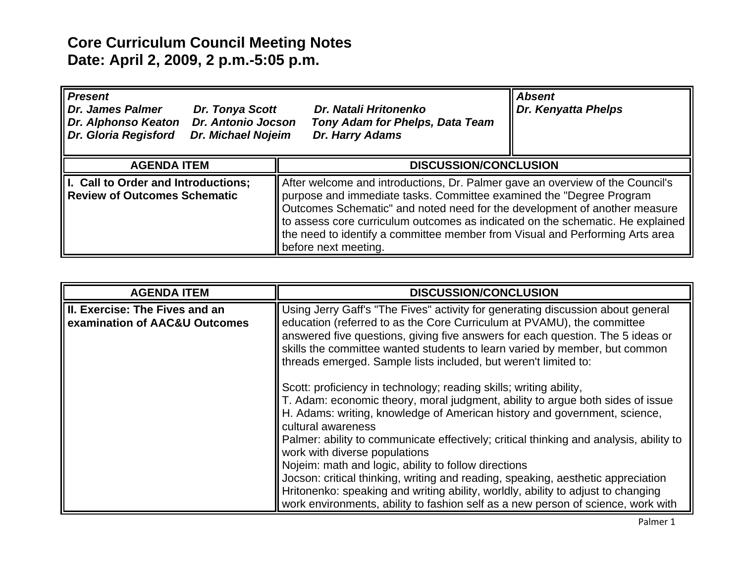## **Core Curriculum Council Meeting Notes Date: April 2, 2009, 2 p.m.-5:05 p.m.**

| <b>Present</b><br><b>Dr. James Palmer</b><br>Dr. Tonya Scott<br><b>Dr. Antonio Jocson</b><br><b>Dr. Alphonso Keaton</b><br>Dr. Gloria Regisford<br><b>Dr. Michael Nojeim</b> | Dr. Natali Hritonenko<br>Tony Adam for Phelps, Data Team<br>Dr. Harry Adams                                                                                                                                                                                                                                                                                                                                                 | <b>Absent</b><br>Dr. Kenyatta Phelps |
|------------------------------------------------------------------------------------------------------------------------------------------------------------------------------|-----------------------------------------------------------------------------------------------------------------------------------------------------------------------------------------------------------------------------------------------------------------------------------------------------------------------------------------------------------------------------------------------------------------------------|--------------------------------------|
| <b>AGENDA ITEM</b>                                                                                                                                                           | <b>DISCUSSION/CONCLUSION</b>                                                                                                                                                                                                                                                                                                                                                                                                |                                      |
| II. Call to Order and Introductions;<br><b>Review of Outcomes Schematic</b>                                                                                                  | After welcome and introductions, Dr. Palmer gave an overview of the Council's<br>purpose and immediate tasks. Committee examined the "Degree Program<br>Outcomes Schematic" and noted need for the development of another measure<br>to assess core curriculum outcomes as indicated on the schematic. He explained<br>the need to identify a committee member from Visual and Performing Arts area<br>before next meeting. |                                      |

| <b>AGENDA ITEM</b>                                               | <b>DISCUSSION/CONCLUSION</b>                                                                                                                                                                                                                                                                                                                                                                                                                                                                                                                                                                                                                                                                           |
|------------------------------------------------------------------|--------------------------------------------------------------------------------------------------------------------------------------------------------------------------------------------------------------------------------------------------------------------------------------------------------------------------------------------------------------------------------------------------------------------------------------------------------------------------------------------------------------------------------------------------------------------------------------------------------------------------------------------------------------------------------------------------------|
| III. Exercise: The Fives and an<br>examination of AAC&U Outcomes | Using Jerry Gaff's "The Fives" activity for generating discussion about general<br>education (referred to as the Core Curriculum at PVAMU), the committee<br>answered five questions, giving five answers for each question. The 5 ideas or<br>skills the committee wanted students to learn varied by member, but common<br>threads emerged. Sample lists included, but weren't limited to:                                                                                                                                                                                                                                                                                                           |
|                                                                  | Scott: proficiency in technology; reading skills; writing ability,<br>T. Adam: economic theory, moral judgment, ability to argue both sides of issue<br>H. Adams: writing, knowledge of American history and government, science,<br>cultural awareness<br>Palmer: ability to communicate effectively; critical thinking and analysis, ability to<br>work with diverse populations<br>Nojeim: math and logic, ability to follow directions<br>Jocson: critical thinking, writing and reading, speaking, aesthetic appreciation<br>Hritonenko: speaking and writing ability, worldly, ability to adjust to changing<br>work environments, ability to fashion self as a new person of science, work with |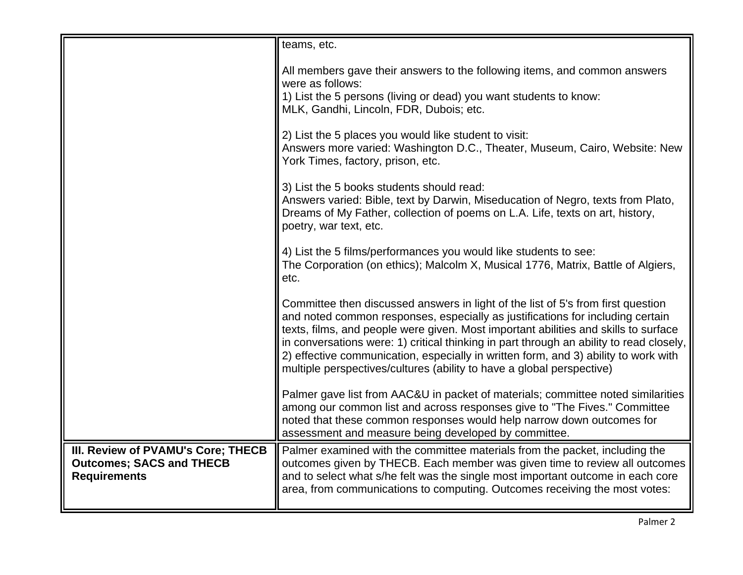|                                                                                              | teams, etc.                                                                                                                                                                                                                                                                                                                                                                                                                                                                                                          |
|----------------------------------------------------------------------------------------------|----------------------------------------------------------------------------------------------------------------------------------------------------------------------------------------------------------------------------------------------------------------------------------------------------------------------------------------------------------------------------------------------------------------------------------------------------------------------------------------------------------------------|
|                                                                                              | All members gave their answers to the following items, and common answers<br>were as follows:<br>1) List the 5 persons (living or dead) you want students to know:<br>MLK, Gandhi, Lincoln, FDR, Dubois; etc.                                                                                                                                                                                                                                                                                                        |
|                                                                                              | 2) List the 5 places you would like student to visit:<br>Answers more varied: Washington D.C., Theater, Museum, Cairo, Website: New<br>York Times, factory, prison, etc.                                                                                                                                                                                                                                                                                                                                             |
|                                                                                              | 3) List the 5 books students should read:<br>Answers varied: Bible, text by Darwin, Miseducation of Negro, texts from Plato,<br>Dreams of My Father, collection of poems on L.A. Life, texts on art, history,<br>poetry, war text, etc.                                                                                                                                                                                                                                                                              |
|                                                                                              | 4) List the 5 films/performances you would like students to see:<br>The Corporation (on ethics); Malcolm X, Musical 1776, Matrix, Battle of Algiers,<br>etc.                                                                                                                                                                                                                                                                                                                                                         |
|                                                                                              | Committee then discussed answers in light of the list of 5's from first question<br>and noted common responses, especially as justifications for including certain<br>texts, films, and people were given. Most important abilities and skills to surface<br>in conversations were: 1) critical thinking in part through an ability to read closely,<br>2) effective communication, especially in written form, and 3) ability to work with<br>multiple perspectives/cultures (ability to have a global perspective) |
|                                                                                              | Palmer gave list from AAC&U in packet of materials; committee noted similarities<br>among our common list and across responses give to "The Fives." Committee<br>noted that these common responses would help narrow down outcomes for<br>assessment and measure being developed by committee.                                                                                                                                                                                                                       |
| III. Review of PVAMU's Core; THECB<br><b>Outcomes; SACS and THECB</b><br><b>Requirements</b> | Palmer examined with the committee materials from the packet, including the<br>outcomes given by THECB. Each member was given time to review all outcomes<br>and to select what s/he felt was the single most important outcome in each core<br>area, from communications to computing. Outcomes receiving the most votes:                                                                                                                                                                                           |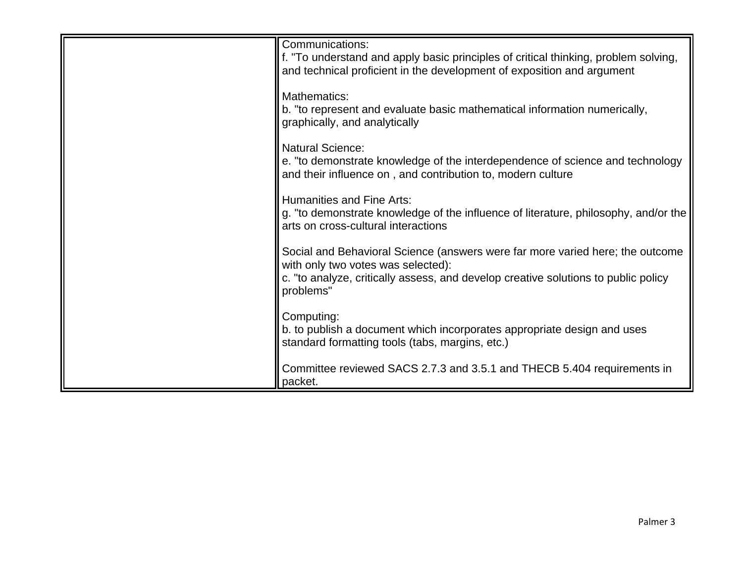| Communications:<br>f. "To understand and apply basic principles of critical thinking, problem solving,<br>and technical proficient in the development of exposition and argument                                       |
|------------------------------------------------------------------------------------------------------------------------------------------------------------------------------------------------------------------------|
| Mathematics:<br>b. "to represent and evaluate basic mathematical information numerically,<br>graphically, and analytically                                                                                             |
| <b>Natural Science:</b><br>e. "to demonstrate knowledge of the interdependence of science and technology<br>and their influence on, and contribution to, modern culture                                                |
| <b>Humanities and Fine Arts:</b><br>g. "to demonstrate knowledge of the influence of literature, philosophy, and/or the<br>arts on cross-cultural interactions                                                         |
| Social and Behavioral Science (answers were far more varied here; the outcome<br>with only two votes was selected):<br>c. "to analyze, critically assess, and develop creative solutions to public policy<br>problems" |
| Computing:<br>b. to publish a document which incorporates appropriate design and uses<br>standard formatting tools (tabs, margins, etc.)                                                                               |
| Committee reviewed SACS 2.7.3 and 3.5.1 and THECB 5.404 requirements in<br>packet.                                                                                                                                     |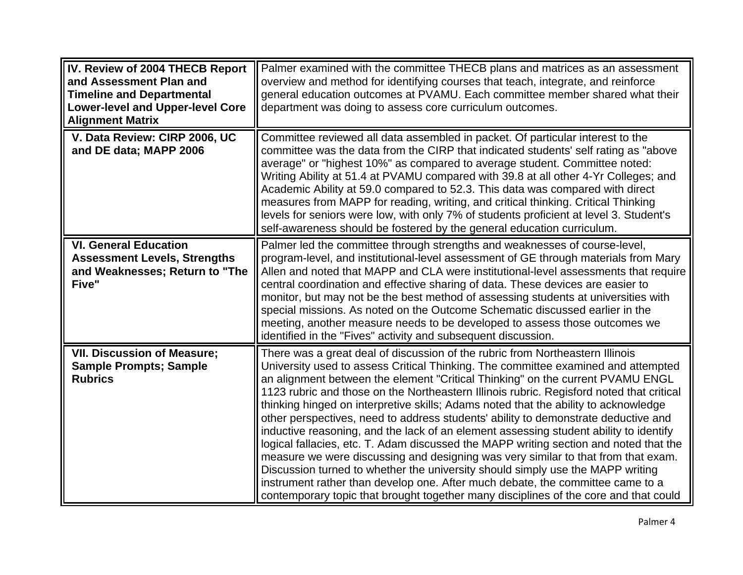| IV. Review of 2004 THECB Report<br>and Assessment Plan and<br><b>Timeline and Departmental</b><br><b>Lower-level and Upper-level Core</b><br><b>Alignment Matrix</b> | Palmer examined with the committee THECB plans and matrices as an assessment<br>overview and method for identifying courses that teach, integrate, and reinforce<br>general education outcomes at PVAMU. Each committee member shared what their<br>department was doing to assess core curriculum outcomes.                                                                                                                                                                                                                                                                                                                                                                                                                                                                                                                                                                                                                                                                                                                                                     |
|----------------------------------------------------------------------------------------------------------------------------------------------------------------------|------------------------------------------------------------------------------------------------------------------------------------------------------------------------------------------------------------------------------------------------------------------------------------------------------------------------------------------------------------------------------------------------------------------------------------------------------------------------------------------------------------------------------------------------------------------------------------------------------------------------------------------------------------------------------------------------------------------------------------------------------------------------------------------------------------------------------------------------------------------------------------------------------------------------------------------------------------------------------------------------------------------------------------------------------------------|
| V. Data Review: CIRP 2006, UC<br>and DE data; MAPP 2006                                                                                                              | Committee reviewed all data assembled in packet. Of particular interest to the<br>committee was the data from the CIRP that indicated students' self rating as "above"<br>average" or "highest 10%" as compared to average student. Committee noted:<br>Writing Ability at 51.4 at PVAMU compared with 39.8 at all other 4-Yr Colleges; and<br>Academic Ability at 59.0 compared to 52.3. This data was compared with direct<br>measures from MAPP for reading, writing, and critical thinking. Critical Thinking<br>levels for seniors were low, with only 7% of students proficient at level 3. Student's<br>self-awareness should be fostered by the general education curriculum.                                                                                                                                                                                                                                                                                                                                                                            |
| <b>VI. General Education</b><br><b>Assessment Levels, Strengths</b><br>and Weaknesses; Return to "The<br>Five"                                                       | Palmer led the committee through strengths and weaknesses of course-level,<br>program-level, and institutional-level assessment of GE through materials from Mary<br>Allen and noted that MAPP and CLA were institutional-level assessments that require<br>central coordination and effective sharing of data. These devices are easier to<br>monitor, but may not be the best method of assessing students at universities with<br>special missions. As noted on the Outcome Schematic discussed earlier in the<br>meeting, another measure needs to be developed to assess those outcomes we<br>identified in the "Fives" activity and subsequent discussion.                                                                                                                                                                                                                                                                                                                                                                                                 |
| <b>VII. Discussion of Measure;</b><br><b>Sample Prompts; Sample</b><br><b>Rubrics</b>                                                                                | There was a great deal of discussion of the rubric from Northeastern Illinois<br>University used to assess Critical Thinking. The committee examined and attempted<br>an alignment between the element "Critical Thinking" on the current PVAMU ENGL<br>1123 rubric and those on the Northeastern Illinois rubric. Regisford noted that critical<br>thinking hinged on interpretive skills; Adams noted that the ability to acknowledge<br>other perspectives, need to address students' ability to demonstrate deductive and<br>inductive reasoning, and the lack of an element assessing student ability to identify<br>logical fallacies, etc. T. Adam discussed the MAPP writing section and noted that the<br>measure we were discussing and designing was very similar to that from that exam.<br>Discussion turned to whether the university should simply use the MAPP writing<br>instrument rather than develop one. After much debate, the committee came to a<br>contemporary topic that brought together many disciplines of the core and that could |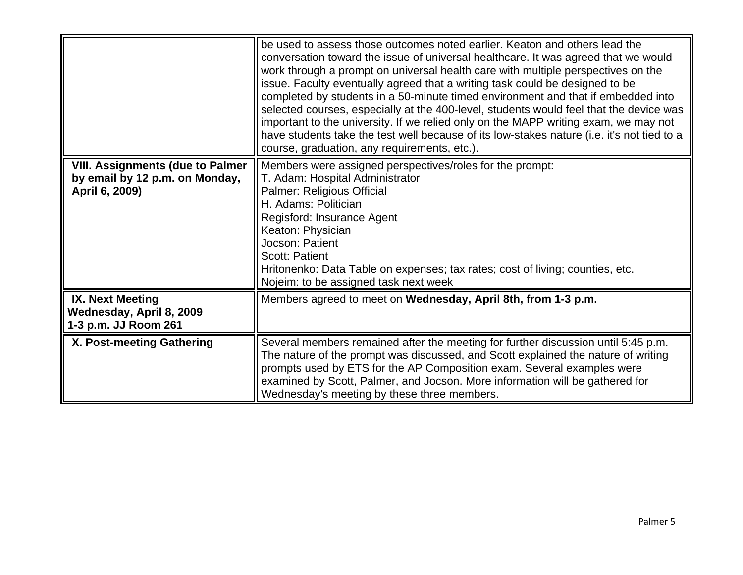|                                                                                             | be used to assess those outcomes noted earlier. Keaton and others lead the<br>conversation toward the issue of universal healthcare. It was agreed that we would<br>work through a prompt on universal health care with multiple perspectives on the<br>issue. Faculty eventually agreed that a writing task could be designed to be<br>completed by students in a 50-minute timed environment and that if embedded into<br>selected courses, especially at the 400-level, students would feel that the device was<br>important to the university. If we relied only on the MAPP writing exam, we may not<br>have students take the test well because of its low-stakes nature (i.e. it's not tied to a<br>course, graduation, any requirements, etc.). |
|---------------------------------------------------------------------------------------------|---------------------------------------------------------------------------------------------------------------------------------------------------------------------------------------------------------------------------------------------------------------------------------------------------------------------------------------------------------------------------------------------------------------------------------------------------------------------------------------------------------------------------------------------------------------------------------------------------------------------------------------------------------------------------------------------------------------------------------------------------------|
| <b>VIII. Assignments (due to Palmer</b><br>by email by 12 p.m. on Monday,<br>April 6, 2009) | Members were assigned perspectives/roles for the prompt:<br>T. Adam: Hospital Administrator<br>Palmer: Religious Official<br>H. Adams: Politician<br>Regisford: Insurance Agent<br>Keaton: Physician<br>Jocson: Patient<br><b>Scott: Patient</b><br>Hritonenko: Data Table on expenses; tax rates; cost of living; counties, etc.<br>Nojeim: to be assigned task next week                                                                                                                                                                                                                                                                                                                                                                              |
| <b>IX. Next Meeting</b><br>Wednesday, April 8, 2009<br>1-3 p.m. JJ Room 261                 | Members agreed to meet on Wednesday, April 8th, from 1-3 p.m.                                                                                                                                                                                                                                                                                                                                                                                                                                                                                                                                                                                                                                                                                           |
| X. Post-meeting Gathering                                                                   | Several members remained after the meeting for further discussion until 5:45 p.m.<br>The nature of the prompt was discussed, and Scott explained the nature of writing<br>prompts used by ETS for the AP Composition exam. Several examples were<br>examined by Scott, Palmer, and Jocson. More information will be gathered for<br>Wednesday's meeting by these three members.                                                                                                                                                                                                                                                                                                                                                                         |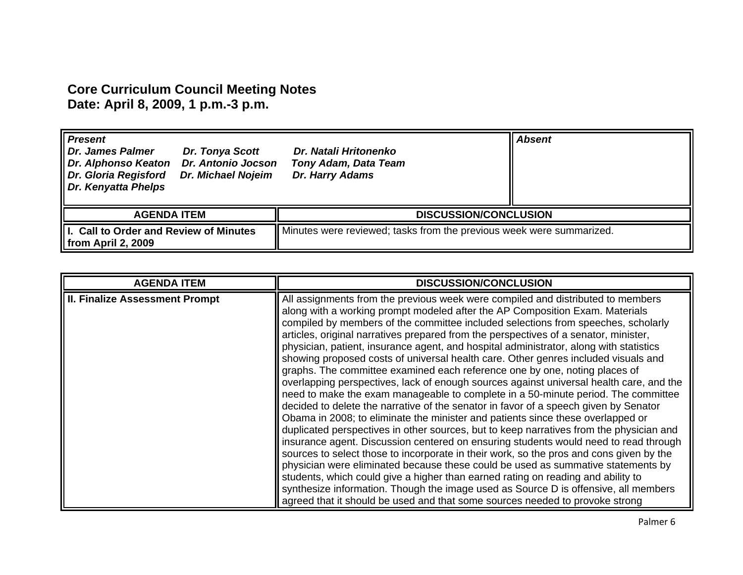## **Core Curriculum Council Meeting Notes Date: April 8, 2009, 1 p.m.-3 p.m.**

| <b>Present</b><br>Dr. James Palmer<br>Dr. Alphonso Keaton<br>Dr. Gloria Regisford<br>Dr. Kenyatta Phelps | <b>Dr. Tonya Scott</b><br>Dr. Antonio Jocson<br><b>Dr. Michael Nojeim</b> | Dr. Natali Hritonenko<br><b>Tony Adam, Data Team</b><br>Dr. Harry Adams |  | <b>Absent</b> |
|----------------------------------------------------------------------------------------------------------|---------------------------------------------------------------------------|-------------------------------------------------------------------------|--|---------------|
| <b>AGENDA ITEM</b>                                                                                       |                                                                           | <b>DISCUSSION/CONCLUSION</b>                                            |  |               |
| I. Call to Order and Review of Minutes<br>$\parallel$ from April 2, 2009                                 |                                                                           | Minutes were reviewed; tasks from the previous week were summarized.    |  |               |

| <b>AGENDA ITEM</b>                    | <b>DISCUSSION/CONCLUSION</b>                                                                                                                                                                                                                                                                                                                                                                                                                                                                                                                                                                                                                                                                                                                                                                                                                                                                                                                                                                                                                                                                                                                                                                                                                                                                                                                                                                                                                                                                                                                                                                       |
|---------------------------------------|----------------------------------------------------------------------------------------------------------------------------------------------------------------------------------------------------------------------------------------------------------------------------------------------------------------------------------------------------------------------------------------------------------------------------------------------------------------------------------------------------------------------------------------------------------------------------------------------------------------------------------------------------------------------------------------------------------------------------------------------------------------------------------------------------------------------------------------------------------------------------------------------------------------------------------------------------------------------------------------------------------------------------------------------------------------------------------------------------------------------------------------------------------------------------------------------------------------------------------------------------------------------------------------------------------------------------------------------------------------------------------------------------------------------------------------------------------------------------------------------------------------------------------------------------------------------------------------------------|
| <b>II. Finalize Assessment Prompt</b> | All assignments from the previous week were compiled and distributed to members<br>along with a working prompt modeled after the AP Composition Exam. Materials<br>compiled by members of the committee included selections from speeches, scholarly<br>articles, original narratives prepared from the perspectives of a senator, minister,<br>physician, patient, insurance agent, and hospital administrator, along with statistics<br>showing proposed costs of universal health care. Other genres included visuals and<br>graphs. The committee examined each reference one by one, noting places of<br>overlapping perspectives, lack of enough sources against universal health care, and the<br>need to make the exam manageable to complete in a 50-minute period. The committee<br>decided to delete the narrative of the senator in favor of a speech given by Senator<br>Obama in 2008; to eliminate the minister and patients since these overlapped or<br>duplicated perspectives in other sources, but to keep narratives from the physician and<br>insurance agent. Discussion centered on ensuring students would need to read through<br>sources to select those to incorporate in their work, so the pros and cons given by the<br>physician were eliminated because these could be used as summative statements by<br>students, which could give a higher than earned rating on reading and ability to<br>synthesize information. Though the image used as Source D is offensive, all members<br>agreed that it should be used and that some sources needed to provoke strong |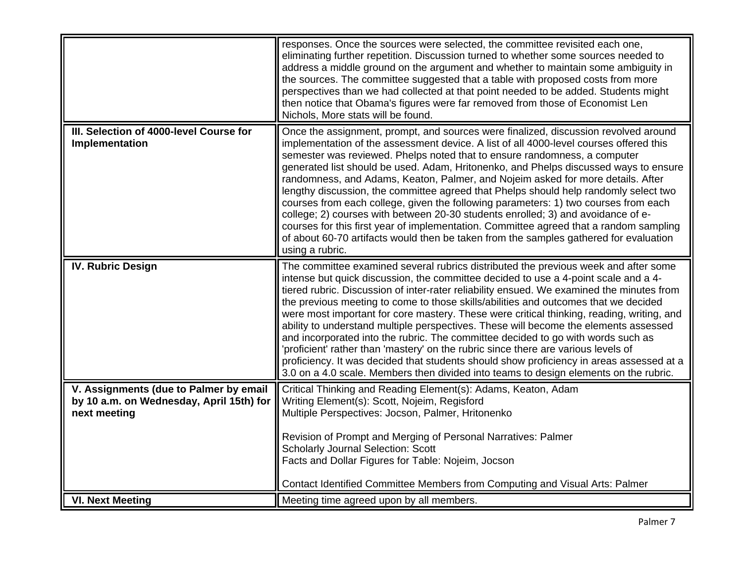|                                                                                                    | responses. Once the sources were selected, the committee revisited each one,<br>eliminating further repetition. Discussion turned to whether some sources needed to<br>address a middle ground on the argument and whether to maintain some ambiguity in<br>the sources. The committee suggested that a table with proposed costs from more<br>perspectives than we had collected at that point needed to be added. Students might<br>then notice that Obama's figures were far removed from those of Economist Len<br>Nichols, More stats will be found.                                                                                                                                                                                                                                                                                                                                                          |
|----------------------------------------------------------------------------------------------------|--------------------------------------------------------------------------------------------------------------------------------------------------------------------------------------------------------------------------------------------------------------------------------------------------------------------------------------------------------------------------------------------------------------------------------------------------------------------------------------------------------------------------------------------------------------------------------------------------------------------------------------------------------------------------------------------------------------------------------------------------------------------------------------------------------------------------------------------------------------------------------------------------------------------|
| III. Selection of 4000-level Course for<br>Implementation                                          | Once the assignment, prompt, and sources were finalized, discussion revolved around<br>implementation of the assessment device. A list of all 4000-level courses offered this<br>semester was reviewed. Phelps noted that to ensure randomness, a computer<br>generated list should be used. Adam, Hritonenko, and Phelps discussed ways to ensure<br>randomness, and Adams, Keaton, Palmer, and Nojeim asked for more details. After<br>lengthy discussion, the committee agreed that Phelps should help randomly select two<br>courses from each college, given the following parameters: 1) two courses from each<br>college; 2) courses with between 20-30 students enrolled; 3) and avoidance of e-<br>courses for this first year of implementation. Committee agreed that a random sampling<br>of about 60-70 artifacts would then be taken from the samples gathered for evaluation<br>using a rubric.     |
| <b>IV. Rubric Design</b>                                                                           | The committee examined several rubrics distributed the previous week and after some<br>intense but quick discussion, the committee decided to use a 4-point scale and a 4-<br>tiered rubric. Discussion of inter-rater reliability ensued. We examined the minutes from<br>the previous meeting to come to those skills/abilities and outcomes that we decided<br>were most important for core mastery. These were critical thinking, reading, writing, and<br>ability to understand multiple perspectives. These will become the elements assessed<br>and incorporated into the rubric. The committee decided to go with words such as<br>'proficient' rather than 'mastery' on the rubric since there are various levels of<br>proficiency. It was decided that students should show proficiency in areas assessed at a<br>3.0 on a 4.0 scale. Members then divided into teams to design elements on the rubric. |
| V. Assignments (due to Palmer by email<br>by 10 a.m. on Wednesday, April 15th) for<br>next meeting | Critical Thinking and Reading Element(s): Adams, Keaton, Adam<br>Writing Element(s): Scott, Nojeim, Regisford<br>Multiple Perspectives: Jocson, Palmer, Hritonenko<br>Revision of Prompt and Merging of Personal Narratives: Palmer<br><b>Scholarly Journal Selection: Scott</b><br>Facts and Dollar Figures for Table: Nojeim, Jocson<br>Contact Identified Committee Members from Computing and Visual Arts: Palmer                                                                                                                                                                                                                                                                                                                                                                                                                                                                                              |
| <b>VI. Next Meeting</b>                                                                            | Meeting time agreed upon by all members.                                                                                                                                                                                                                                                                                                                                                                                                                                                                                                                                                                                                                                                                                                                                                                                                                                                                           |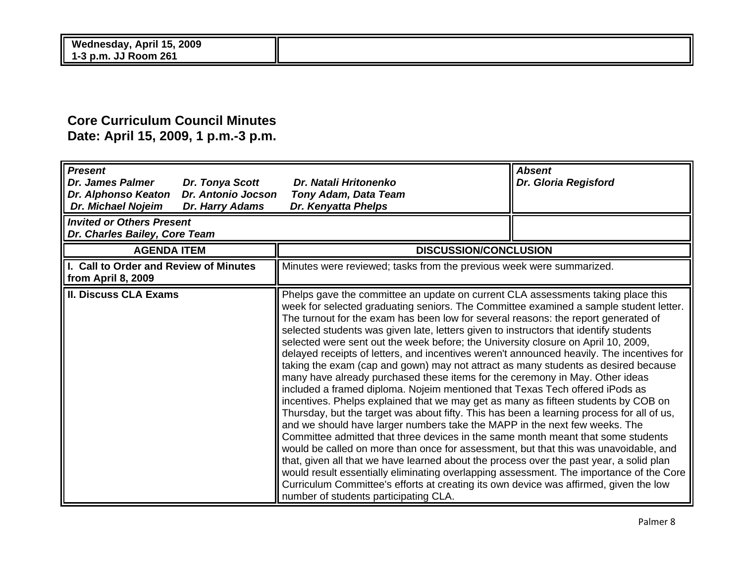## **Core Curriculum Council Minutes Date: April 15, 2009, 1 p.m.-3 p.m.**

| $\sqrt{P}$ resent<br>Dr. Tonya Scott<br><b>Dr. James Palmer</b><br><b>Dr. Antonio Jocson</b><br>Dr. Alphonso Keaton<br><b>Dr. Michael Nojeim</b><br>Dr. Harry Adams | Dr. Natali Hritonenko<br><b>Tony Adam, Data Team</b><br>Dr. Kenyatta Phelps                                                                                                                                                                                                                                                                                                                                                                                                                                                                                                                                                                                                                                                                                                                                                                                                                                                                                                                                                                                                                                                                                                                                                                                                                                                                                                                                                                                                                                                                                           | <b>Absent</b><br>Dr. Gloria Regisford |
|---------------------------------------------------------------------------------------------------------------------------------------------------------------------|-----------------------------------------------------------------------------------------------------------------------------------------------------------------------------------------------------------------------------------------------------------------------------------------------------------------------------------------------------------------------------------------------------------------------------------------------------------------------------------------------------------------------------------------------------------------------------------------------------------------------------------------------------------------------------------------------------------------------------------------------------------------------------------------------------------------------------------------------------------------------------------------------------------------------------------------------------------------------------------------------------------------------------------------------------------------------------------------------------------------------------------------------------------------------------------------------------------------------------------------------------------------------------------------------------------------------------------------------------------------------------------------------------------------------------------------------------------------------------------------------------------------------------------------------------------------------|---------------------------------------|
| I Invited or Others Present<br>Dr. Charles Bailey, Core Team                                                                                                        |                                                                                                                                                                                                                                                                                                                                                                                                                                                                                                                                                                                                                                                                                                                                                                                                                                                                                                                                                                                                                                                                                                                                                                                                                                                                                                                                                                                                                                                                                                                                                                       |                                       |
| <b>AGENDA ITEM</b>                                                                                                                                                  | <b>DISCUSSION/CONCLUSION</b>                                                                                                                                                                                                                                                                                                                                                                                                                                                                                                                                                                                                                                                                                                                                                                                                                                                                                                                                                                                                                                                                                                                                                                                                                                                                                                                                                                                                                                                                                                                                          |                                       |
| I. Call to Order and Review of Minutes<br>from April 8, 2009                                                                                                        | Minutes were reviewed; tasks from the previous week were summarized.                                                                                                                                                                                                                                                                                                                                                                                                                                                                                                                                                                                                                                                                                                                                                                                                                                                                                                                                                                                                                                                                                                                                                                                                                                                                                                                                                                                                                                                                                                  |                                       |
| II. Discuss CLA Exams                                                                                                                                               | Phelps gave the committee an update on current CLA assessments taking place this<br>week for selected graduating seniors. The Committee examined a sample student letter.<br>The turnout for the exam has been low for several reasons: the report generated of<br>selected students was given late, letters given to instructors that identify students<br>selected were sent out the week before; the University closure on April 10, 2009,<br>delayed receipts of letters, and incentives weren't announced heavily. The incentives for<br>taking the exam (cap and gown) may not attract as many students as desired because<br>many have already purchased these items for the ceremony in May. Other ideas<br>included a framed diploma. Nojeim mentioned that Texas Tech offered iPods as<br>incentives. Phelps explained that we may get as many as fifteen students by COB on<br>Thursday, but the target was about fifty. This has been a learning process for all of us,<br>and we should have larger numbers take the MAPP in the next few weeks. The<br>Committee admitted that three devices in the same month meant that some students<br>would be called on more than once for assessment, but that this was unavoidable, and<br>that, given all that we have learned about the process over the past year, a solid plan<br>would result essentially eliminating overlapping assessment. The importance of the Core<br>Curriculum Committee's efforts at creating its own device was affirmed, given the low<br>number of students participating CLA. |                                       |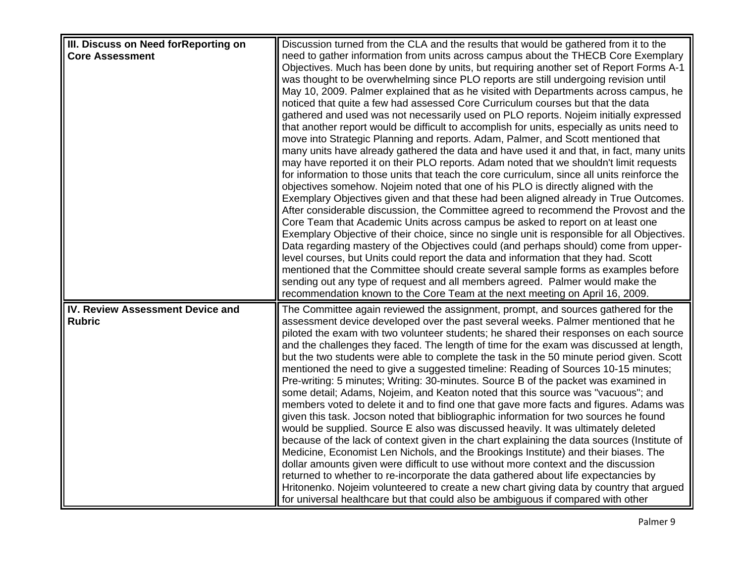| III. Discuss on Need for Reporting on | Discussion turned from the CLA and the results that would be gathered from it to the                                                                                          |
|---------------------------------------|-------------------------------------------------------------------------------------------------------------------------------------------------------------------------------|
| <b>Core Assessment</b>                | need to gather information from units across campus about the THECB Core Exemplary                                                                                            |
|                                       | Objectives. Much has been done by units, but requiring another set of Report Forms A-1                                                                                        |
|                                       | was thought to be overwhelming since PLO reports are still undergoing revision until                                                                                          |
|                                       | May 10, 2009. Palmer explained that as he visited with Departments across campus, he                                                                                          |
|                                       | noticed that quite a few had assessed Core Curriculum courses but that the data                                                                                               |
|                                       | gathered and used was not necessarily used on PLO reports. Nojeim initially expressed                                                                                         |
|                                       | that another report would be difficult to accomplish for units, especially as units need to                                                                                   |
|                                       | move into Strategic Planning and reports. Adam, Palmer, and Scott mentioned that                                                                                              |
|                                       | many units have already gathered the data and have used it and that, in fact, many units                                                                                      |
|                                       | may have reported it on their PLO reports. Adam noted that we shouldn't limit requests                                                                                        |
|                                       | for information to those units that teach the core curriculum, since all units reinforce the                                                                                  |
|                                       | objectives somehow. Nojeim noted that one of his PLO is directly aligned with the                                                                                             |
|                                       | Exemplary Objectives given and that these had been aligned already in True Outcomes.                                                                                          |
|                                       | After considerable discussion, the Committee agreed to recommend the Provost and the                                                                                          |
|                                       | Core Team that Academic Units across campus be asked to report on at least one                                                                                                |
|                                       | Exemplary Objective of their choice, since no single unit is responsible for all Objectives.                                                                                  |
|                                       | Data regarding mastery of the Objectives could (and perhaps should) come from upper-                                                                                          |
|                                       | level courses, but Units could report the data and information that they had. Scott                                                                                           |
|                                       | mentioned that the Committee should create several sample forms as examples before                                                                                            |
|                                       | sending out any type of request and all members agreed. Palmer would make the                                                                                                 |
|                                       | recommendation known to the Core Team at the next meeting on April 16, 2009.                                                                                                  |
| IV. Review Assessment Device and      | The Committee again reviewed the assignment, prompt, and sources gathered for the                                                                                             |
| <b>Rubric</b>                         | assessment device developed over the past several weeks. Palmer mentioned that he                                                                                             |
|                                       | piloted the exam with two volunteer students; he shared their responses on each source                                                                                        |
|                                       | and the challenges they faced. The length of time for the exam was discussed at length,                                                                                       |
|                                       | but the two students were able to complete the task in the 50 minute period given. Scott                                                                                      |
|                                       | mentioned the need to give a suggested timeline: Reading of Sources 10-15 minutes;                                                                                            |
|                                       | Pre-writing: 5 minutes; Writing: 30-minutes. Source B of the packet was examined in                                                                                           |
|                                       | some detail; Adams, Nojeim, and Keaton noted that this source was "vacuous"; and                                                                                              |
|                                       | members voted to delete it and to find one that gave more facts and figures. Adams was                                                                                        |
|                                       | given this task. Jocson noted that bibliographic information for two sources he found                                                                                         |
|                                       | would be supplied. Source E also was discussed heavily. It was ultimately deleted                                                                                             |
|                                       | because of the lack of context given in the chart explaining the data sources (Institute of                                                                                   |
|                                       | Medicine, Economist Len Nichols, and the Brookings Institute) and their biases. The                                                                                           |
|                                       | dollar amounts given were difficult to use without more context and the discussion                                                                                            |
|                                       | returned to whether to re-incorporate the data gathered about life expectancies by<br>Hritonenko. Nojeim volunteered to create a new chart giving data by country that argued |
|                                       | for universal healthcare but that could also be ambiguous if compared with other                                                                                              |
|                                       |                                                                                                                                                                               |